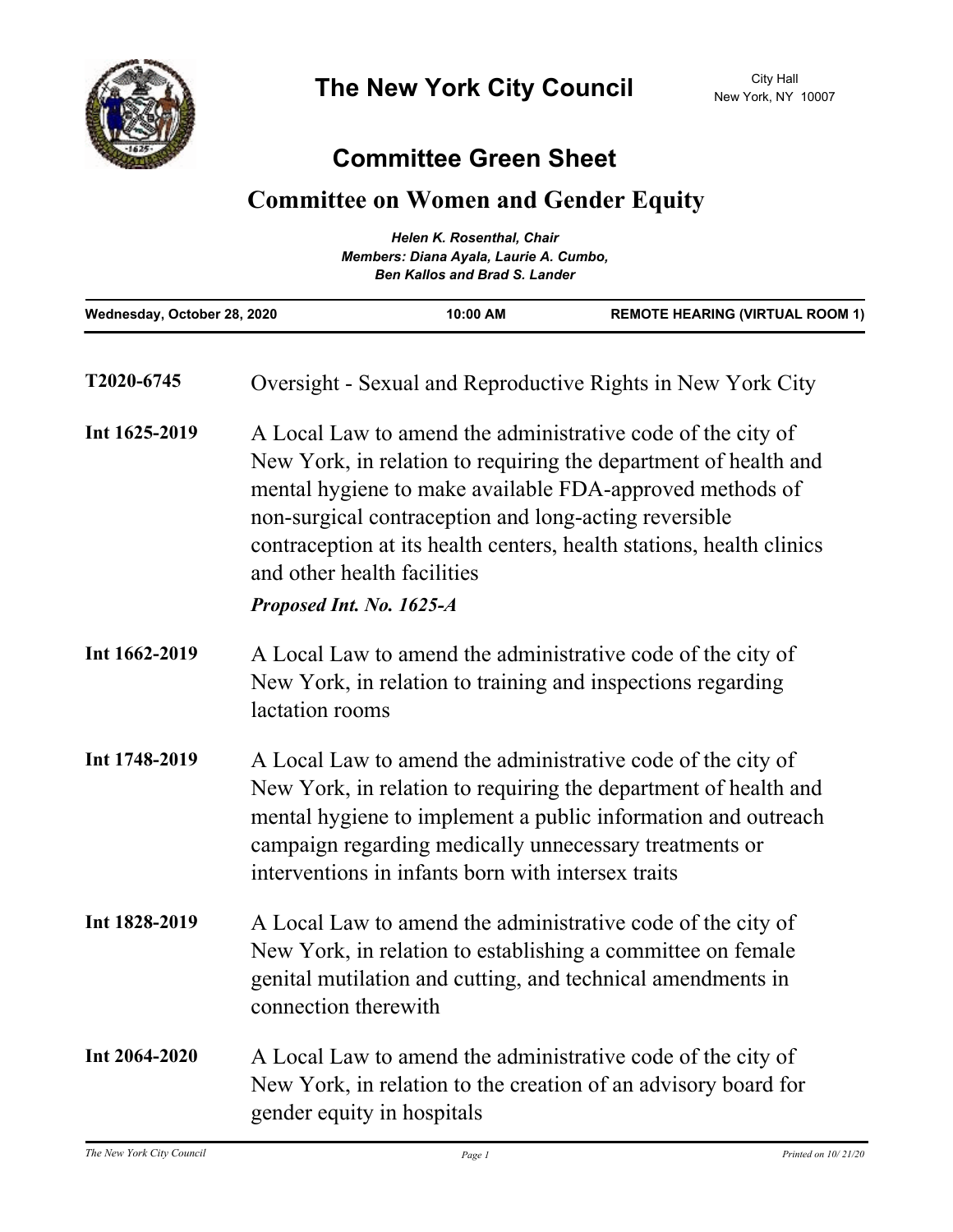

## **Committee Green Sheet**

## **Committee on Women and Gender Equity**

| <b>Helen K. Rosenthal, Chair</b><br>Members: Diana Ayala, Laurie A. Cumbo,<br><b>Ben Kallos and Brad S. Lander</b> |  |  |
|--------------------------------------------------------------------------------------------------------------------|--|--|
|                                                                                                                    |  |  |

| T2020-6745    | Oversight - Sexual and Reproductive Rights in New York City                                                                                                                                                                                                                                                                                                                            |
|---------------|----------------------------------------------------------------------------------------------------------------------------------------------------------------------------------------------------------------------------------------------------------------------------------------------------------------------------------------------------------------------------------------|
| Int 1625-2019 | A Local Law to amend the administrative code of the city of<br>New York, in relation to requiring the department of health and<br>mental hygiene to make available FDA-approved methods of<br>non-surgical contraception and long-acting reversible<br>contraception at its health centers, health stations, health clinics<br>and other health facilities<br>Proposed Int. No. 1625-A |
| Int 1662-2019 | A Local Law to amend the administrative code of the city of<br>New York, in relation to training and inspections regarding<br>lactation rooms                                                                                                                                                                                                                                          |
| Int 1748-2019 | A Local Law to amend the administrative code of the city of<br>New York, in relation to requiring the department of health and<br>mental hygiene to implement a public information and outreach<br>campaign regarding medically unnecessary treatments or<br>interventions in infants born with intersex traits                                                                        |
| Int 1828-2019 | A Local Law to amend the administrative code of the city of<br>New York, in relation to establishing a committee on female<br>genital mutilation and cutting, and technical amendments in<br>connection therewith                                                                                                                                                                      |
| Int 2064-2020 | A Local Law to amend the administrative code of the city of<br>New York, in relation to the creation of an advisory board for<br>gender equity in hospitals                                                                                                                                                                                                                            |